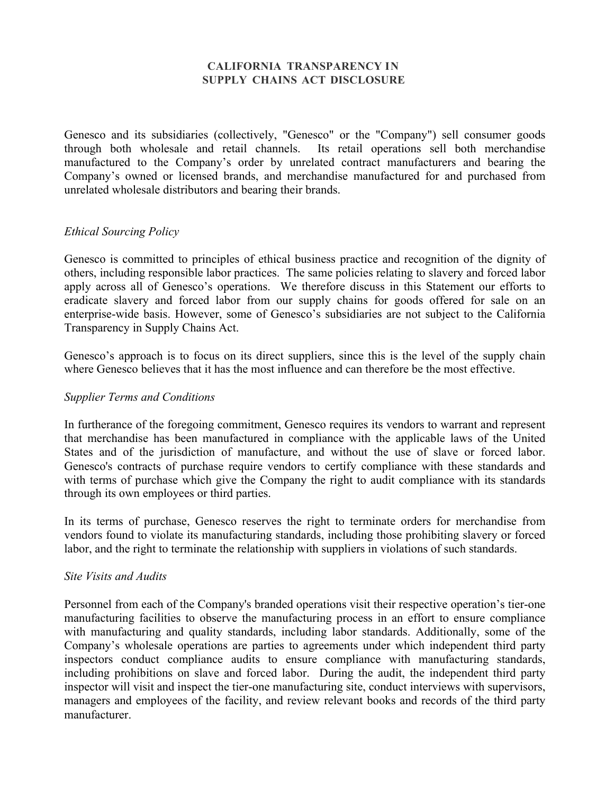# **CALIFORNIA TRANSPARENCY IN SUPPLY CHAINS ACT DISCLOSURE**

Genesco and its subsidiaries (collectively, "Genesco" or the "Company") sell consumer goods through both wholesale and retail channels. Its retail operations sell both merchandise manufactured to the Company's order by unrelated contract manufacturers and bearing the Company's owned or licensed brands, and merchandise manufactured for and purchased from unrelated wholesale distributors and bearing their brands.

### *Ethical Sourcing Policy*

Genesco is committed to principles of ethical business practice and recognition of the dignity of others, including responsible labor practices. The same policies relating to slavery and forced labor apply across all of Genesco's operations. We therefore discuss in this Statement our efforts to eradicate slavery and forced labor from our supply chains for goods offered for sale on an enterprise-wide basis. However, some of Genesco's subsidiaries are not subject to the California Transparency in Supply Chains Act.

Genesco's approach is to focus on its direct suppliers, since this is the level of the supply chain where Genesco believes that it has the most influence and can therefore be the most effective.

### *Supplier Terms and Conditions*

In furtherance of the foregoing commitment, Genesco requires its vendors to warrant and represent that merchandise has been manufactured in compliance with the applicable laws of the United States and of the jurisdiction of manufacture, and without the use of slave or forced labor. Genesco's contracts of purchase require vendors to certify compliance with these standards and with terms of purchase which give the Company the right to audit compliance with its standards through its own employees or third parties.

In its terms of purchase, Genesco reserves the right to terminate orders for merchandise from vendors found to violate its manufacturing standards, including those prohibiting slavery or forced labor, and the right to terminate the relationship with suppliers in violations of such standards.

### *Site Visits and Audits*

Personnel from each of the Company's branded operations visit their respective operation's tier-one manufacturing facilities to observe the manufacturing process in an effort to ensure compliance with manufacturing and quality standards, including labor standards. Additionally, some of the Company's wholesale operations are parties to agreements under which independent third party inspectors conduct compliance audits to ensure compliance with manufacturing standards, including prohibitions on slave and forced labor. During the audit, the independent third party inspector will visit and inspect the tier-one manufacturing site, conduct interviews with supervisors, managers and employees of the facility, and review relevant books and records of the third party manufacturer.